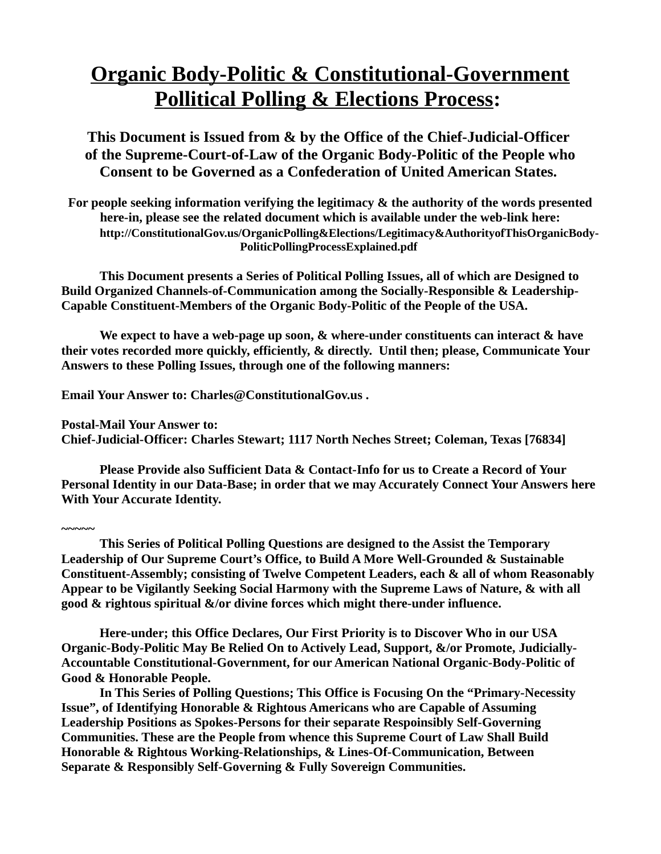## **Organic Body-Politic & Constitutional-Government Pollitical Polling & Elections Process:**

**This Document is Issued from & by the Office of the Chief-Judicial-Officer of the Supreme-Court-of-Law of the Organic Body-Politic of the People who Consent to be Governed as a Confederation of United American States.** 

**For people seeking information verifying the legitimacy & the authority of the words presented here-in, please see the related document which is available under the web-link here: http://ConstitutionalGov.us/OrganicPolling&Elections/Legitimacy&AuthorityofThisOrganicBody-PoliticPollingProcessExplained.pdf** 

**This Document presents a Series of Political Polling Issues, all of which are Designed to Build Organized Channels-of-Communication among the Socially-Responsible & Leadership-Capable Constituent-Members of the Organic Body-Politic of the People of the USA.**

**We expect to have a web-page up soon, & where-under constituents can interact & have their votes recorded more quickly, efficiently, & directly. Until then; please, Communicate Your Answers to these Polling Issues, through one of the following manners:**

**Email Your Answer to: Charles@ConstitutionalGov.us .**

**~~~~~**

**Postal-Mail Your Answer to: Chief-Judicial-Officer: Charles Stewart; 1117 North Neches Street; Coleman, Texas [76834]** 

**Please Provide also Sufficient Data & Contact-Info for us to Create a Record of Your Personal Identity in our Data-Base; in order that we may Accurately Connect Your Answers here With Your Accurate Identity.** 

**This Series of Political Polling Questions are designed to the Assist the Temporary Leadership of Our Supreme Court's Office, to Build A More Well-Grounded & Sustainable Constituent-Assembly; consisting of Twelve Competent Leaders, each & all of whom Reasonably Appear to be Vigilantly Seeking Social Harmony with the Supreme Laws of Nature, & with all good & rightous spiritual &/or divine forces which might there-under influence.** 

**Here-under; this Office Declares, Our First Priority is to Discover Who in our USA Organic-Body-Politic May Be Relied On to Actively Lead, Support, &/or Promote, Judicially-Accountable Constitutional-Government, for our American National Organic-Body-Politic of Good & Honorable People.** 

**In This Series of Polling Questions; This Office is Focusing On the "Primary-Necessity Issue", of Identifying Honorable & Rightous Americans who are Capable of Assuming Leadership Positions as Spokes-Persons for their separate Respoinsibly Self-Governing Communities. These are the People from whence this Supreme Court of Law Shall Build Honorable & Rightous Working-Relationships, & Lines-Of-Communication, Between Separate & Responsibly Self-Governing & Fully Sovereign Communities.**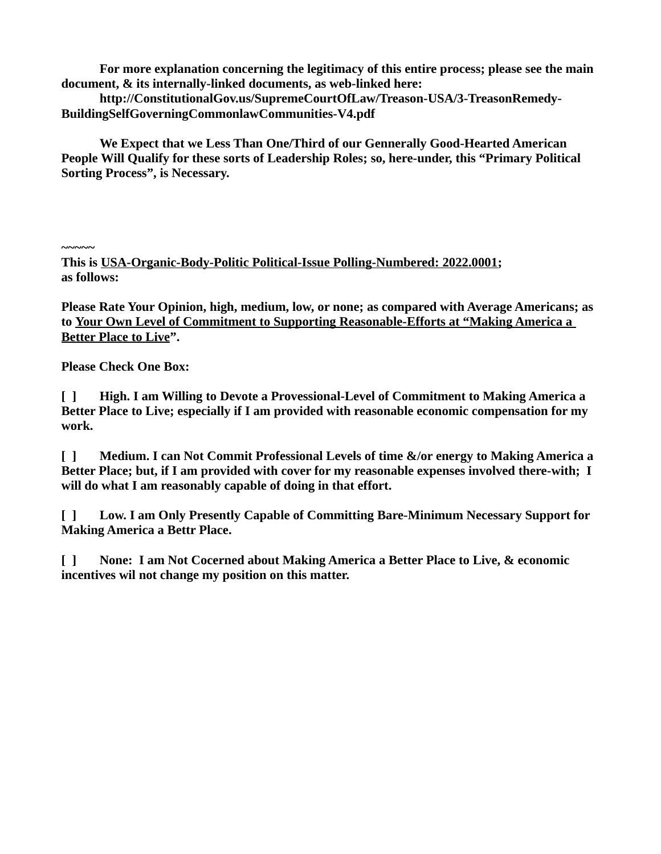**For more explanation concerning the legitimacy of this entire process; please see the main document, & its internally-linked documents, as web-linked here:**

**http://ConstitutionalGov.us/SupremeCourtOfLaw/Treason-USA/3-TreasonRemedy-BuildingSelfGoverningCommonlawCommunities-V4.pdf**

**We Expect that we Less Than One/Third of our Gennerally Good-Hearted American People Will Qualify for these sorts of Leadership Roles; so, here-under, this "Primary Political Sorting Process", is Necessary.**

**~~~~~**

**This is USA-Organic-Body-Politic Political-Issue Polling-Numbered: 2022.0001; as follows:**

**Please Rate Your Opinion, high, medium, low, or none; as compared with Average Americans; as to Your Own Level of Commitment to Supporting Reasonable-Efforts at "Making America a Better Place to Live".**

**Please Check One Box:**

**[ ] High. I am Willing to Devote a Provessional-Level of Commitment to Making America a Better Place to Live; especially if I am provided with reasonable economic compensation for my work.** 

**[ ] Medium. I can Not Commit Professional Levels of time &/or energy to Making America a Better Place; but, if I am provided with cover for my reasonable expenses involved there-with; I will do what I am reasonably capable of doing in that effort.** 

**[ ] Low. I am Only Presently Capable of Committing Bare-Minimum Necessary Support for Making America a Bettr Place.** 

**[ ] None: I am Not Cocerned about Making America a Better Place to Live, & economic incentives wil not change my position on this matter.**